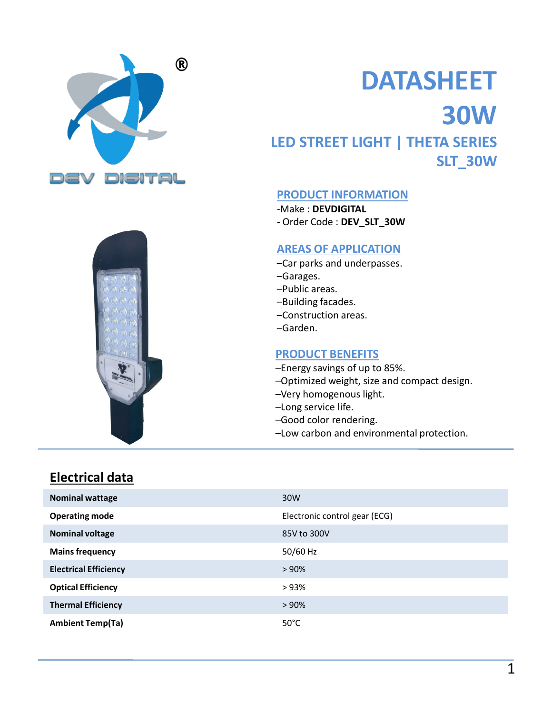



# DATASHEET 30W LED STREET LIGHT | THETA SERIES DATASHEET<br>30W<br>ED STREET LIGHT | THETA SERIES<br>5LT\_30W<br>PRODUCT INFORMATION<br>-Make : DEVDIGITAL<br>-Order Code : DEV\_SLT\_30W<br>AREAS OF APPLICATION<br>-Car parks and underpasses.

# SLT\_30W

#### PRODUCT INFORMATION

-Make : DEVDIGITAL

#### AREAS OF APPLICATION

- –Car parks and underpasses.
- –Garages.
- –Public areas.
- –Building facades.
- –Construction areas.
- –Garden.

#### PRODUCT BENEFITS

- –Energy savings of up to 85%.
- –Optimized weight, size and compact design.
- –Very homogenous light.
- –Long service life.
- –Good color rendering.
- –Low carbon and environmental protection.

#### Electrical data

| <b>Nominal wattage</b>       | 30W                           |
|------------------------------|-------------------------------|
| <b>Operating mode</b>        | Electronic control gear (ECG) |
| <b>Nominal voltage</b>       | 85V to 300V                   |
| <b>Mains frequency</b>       | 50/60 Hz                      |
| <b>Electrical Efficiency</b> | >90%                          |
| <b>Optical Efficiency</b>    | >93%                          |
| <b>Thermal Efficiency</b>    | > 90%                         |
| <b>Ambient Temp(Ta)</b>      | $50^{\circ}$ C                |
|                              |                               |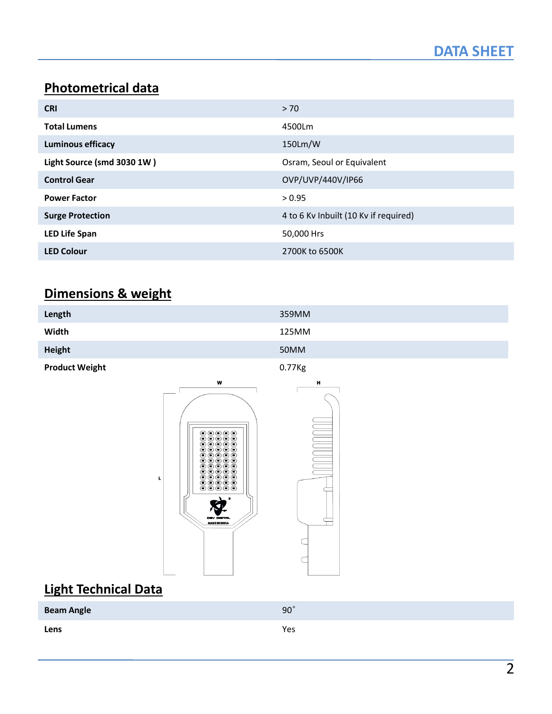# Photometrical data

|                                |                                       | <b>DATA SHEET</b> |
|--------------------------------|---------------------------------------|-------------------|
|                                |                                       |                   |
| <b>Photometrical data</b>      |                                       |                   |
| <b>CRI</b>                     | $>70$                                 |                   |
| <b>Total Lumens</b>            | 4500Lm                                |                   |
| <b>Luminous efficacy</b>       | 150Lm/W                               |                   |
| Light Source (smd 3030 1W)     | Osram, Seoul or Equivalent            |                   |
| <b>Control Gear</b>            | OVP/UVP/440V/IP66                     |                   |
| <b>Power Factor</b>            | > 0.95                                |                   |
| <b>Surge Protection</b>        | 4 to 6 Kv Inbuilt (10 Kv if required) |                   |
| <b>LED Life Span</b>           | 50,000 Hrs                            |                   |
| <b>LED Colour</b>              | 2700K to 6500K                        |                   |
|                                |                                       |                   |
| <b>Dimensions &amp; weight</b> |                                       |                   |

#### Dimensions & weight

| Length                | 359MM  |
|-----------------------|--------|
| Width                 | 125MM  |
| Height                | 50MM   |
| <b>Product Weight</b> | 0.77Kg |

H

 $\Leftarrow$ 

 $\subset$ 

 $\subset$ 



L

# Light Technical Data

| <b>Beam Angle</b> | $90^\circ$ |
|-------------------|------------|
| Lens              | Yes        |